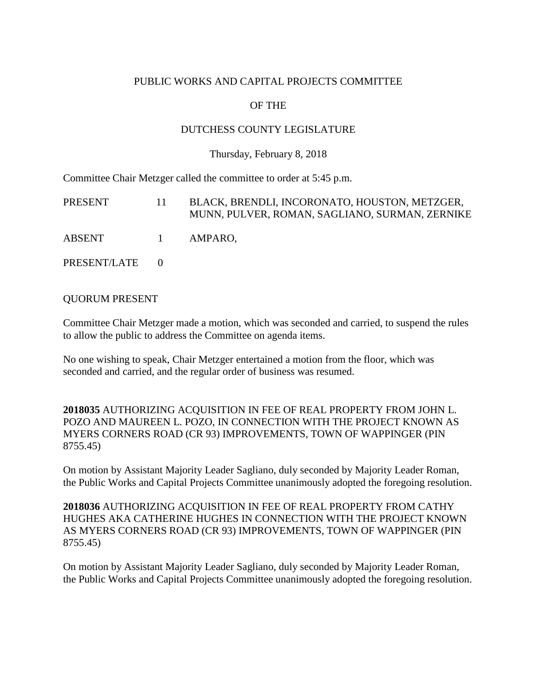### PUBLIC WORKS AND CAPITAL PROJECTS COMMITTEE

# OF THE

### DUTCHESS COUNTY LEGISLATURE

#### Thursday, February 8, 2018

Committee Chair Metzger called the committee to order at 5:45 p.m.

| PRESENT          | $11-$ | BLACK, BRENDLI, INCORONATO, HOUSTON, METZGER,<br>MUNN, PULVER, ROMAN, SAGLIANO, SURMAN, ZERNIKE |
|------------------|-------|-------------------------------------------------------------------------------------------------|
| ABSENT 1 AMPARO. |       |                                                                                                 |
| PRESENT/LATE 0   |       |                                                                                                 |

QUORUM PRESENT

Committee Chair Metzger made a motion, which was seconded and carried, to suspend the rules to allow the public to address the Committee on agenda items.

No one wishing to speak, Chair Metzger entertained a motion from the floor, which was seconded and carried, and the regular order of business was resumed.

**2018035** AUTHORIZING ACQUISITION IN FEE OF REAL PROPERTY FROM JOHN L. POZO AND MAUREEN L. POZO, IN CONNECTION WITH THE PROJECT KNOWN AS MYERS CORNERS ROAD (CR 93) IMPROVEMENTS, TOWN OF WAPPINGER (PIN 8755.45)

On motion by Assistant Majority Leader Sagliano, duly seconded by Majority Leader Roman, the Public Works and Capital Projects Committee unanimously adopted the foregoing resolution.

**2018036** AUTHORIZING ACQUISITION IN FEE OF REAL PROPERTY FROM CATHY HUGHES AKA CATHERINE HUGHES IN CONNECTION WITH THE PROJECT KNOWN AS MYERS CORNERS ROAD (CR 93) IMPROVEMENTS, TOWN OF WAPPINGER (PIN 8755.45)

On motion by Assistant Majority Leader Sagliano, duly seconded by Majority Leader Roman, the Public Works and Capital Projects Committee unanimously adopted the foregoing resolution.